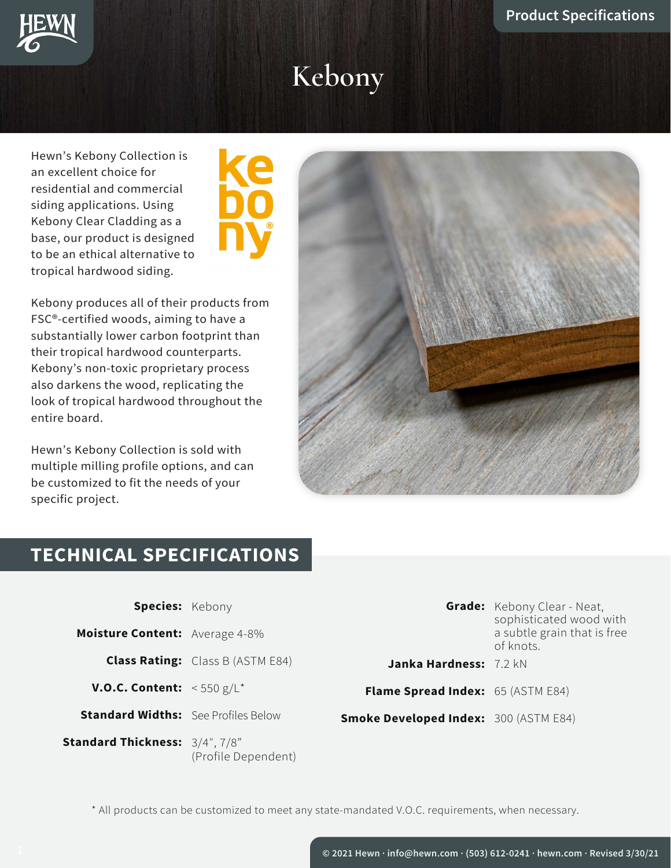

Hewn's Kebony Collection is an excellent choice for residential and commercial siding applications. Using Kebony Clear Cladding as a base, our product is designed to be an ethical alternative to tropical hardwood siding.



Kebony produces all of their products from FSC®-certified woods, aiming to have a substantially lower carbon footprint than their tropical hardwood counterparts. Kebony's non-toxic proprietary process also darkens the wood, replicating the look of tropical hardwood throughout the entire board.

Hewn's Kebony Collection is sold with multiple milling profile options, and can be customized to fit the needs of your specific project.



## **TECHNICAL SPECIFICATIONS**

- **Species:** Kebony
- **Moisture Content:** Average 4-8%
	- **Class Rating:** Class B (ASTM E84)
	- **V.O.C. Content:** < 550 g/L\*
- **Standard Widths:** See Profiles Below

**Standard Thickness:** 3/4″, 7/8" (Profile Dependent)

|                                              | <b>Grade:</b> Kebony Clear - Neat,<br>sophisticated wood with<br>a subtle grain that is free<br>of knots. |
|----------------------------------------------|-----------------------------------------------------------------------------------------------------------|
| Janka Hardness: 7.2 kN                       |                                                                                                           |
| <b>Flame Spread Index:</b> 65 (ASTM E84)     |                                                                                                           |
| <b>Smoke Developed Index:</b> 300 (ASTM E84) |                                                                                                           |
|                                              |                                                                                                           |

\* All products can be customized to meet any state-mandated V.O.C. requirements, when necessary.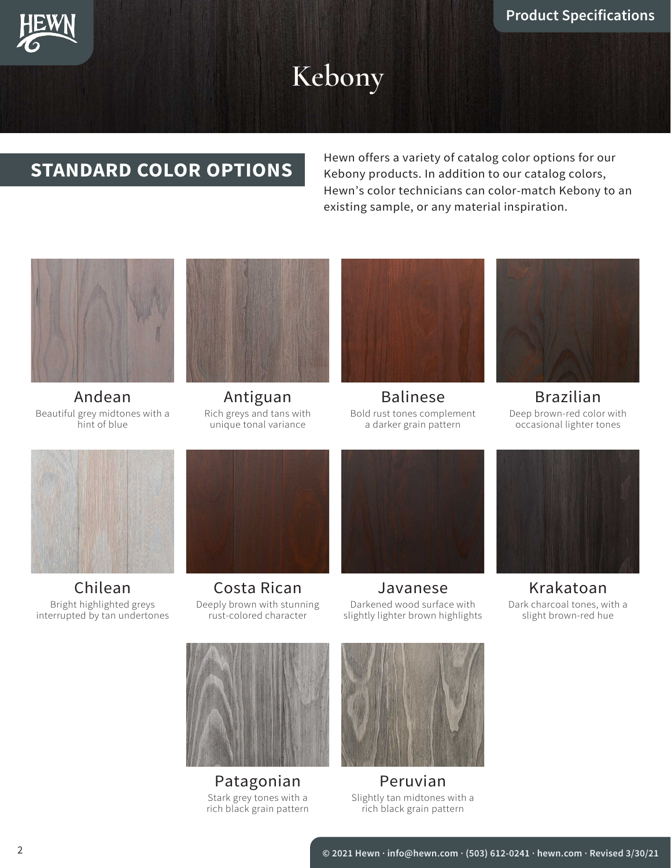

## **STANDARD COLOR OPTIONS**

Hewn offers a variety of catalog color options for our Kebony products. In addition to our catalog colors, Hewn's color technicians can color-match Kebony to an existing sample, or any material inspiration.



Beautiful grey midtones with a hint of blue



Andean Antiguan Balinese Rich greys and tans with unique tonal variance



Bold rust tones complement a darker grain pattern



Brazilian Deep brown-red color with occasional lighter tones



Chilean Bright highlighted greys interrupted by tan undertones



Costa Rican Javanese Krakatoan Deeply brown with stunning rust-colored character



Darkened wood surface with



Dark charcoal tones, with a slight brown-red hue



Patagonian Peruvian Stark grey tones with a rich black grain pattern





Slightly tan midtones with a rich black grain pattern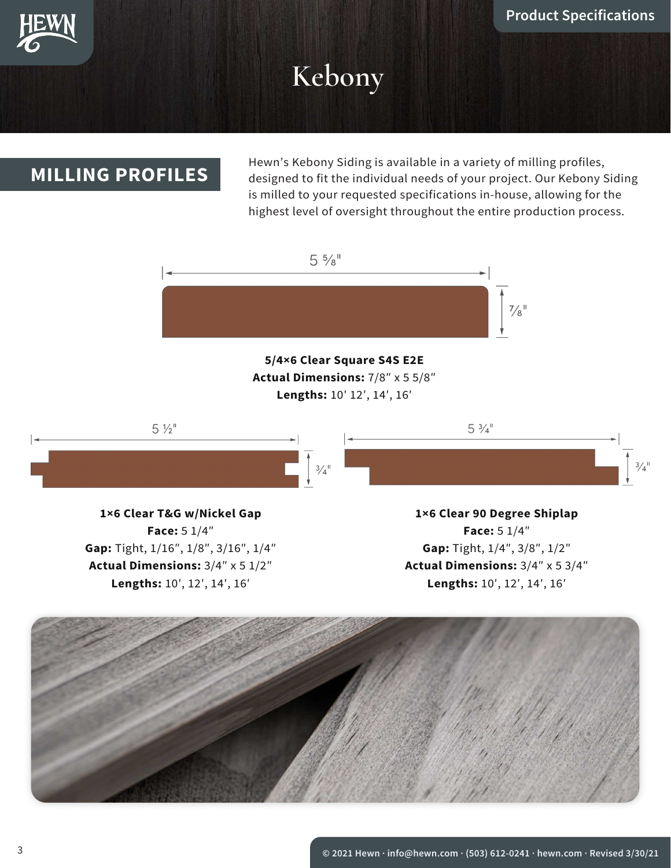

## **MILLING PROFILES**

Hewn's Kebony Siding is available in a variety of milling profiles, designed to fit the individual needs of your project. Our Kebony Siding is milled to your requested specifications in-house, allowing for the highest level of oversight throughout the entire production process.



**5/4×6 Clear Square S4S E2E Actual Dimensions:** 7/8″ x 5 5/8″ **Lengths:** 10′ 12′, 14′, 16′



**1×6 Clear T&G w/Nickel Gap Face:** 5 1/4″ **Gap:** Tight, 1/16″, 1/8″, 3/16″, 1/4″ **Actual Dimensions:** 3/4″ x 5 1/2″ **Lengths:** 10′, 12′, 14′, 16′

#### **1×6 Clear 90 Degree Shiplap Face:** 5 1/4″ **Gap:** Tight, 1/4″, 3/8″, 1/2″ **Actual Dimensions:** 3/4″ x 5 3/4″ **Lengths:** 10′, 12′, 14′, 16′